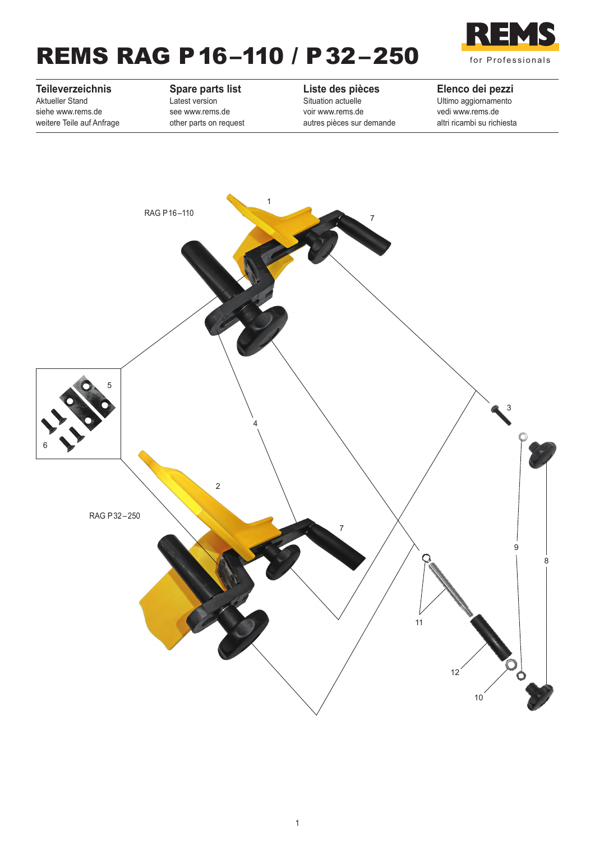# REMS RAG P16–110 / P32–250



### **Teileverzeichnis** Aktueller Stand

siehe www.rems.de weitere Teile auf Anfrage

#### **Spare parts list**

Latest version see www.rems.de other parts on request

#### **Liste des pièces**

Situation actuelle voir www.rems.de autres pièces sur demande

#### **Elenco dei pezzi**

Ultimo aggiornamento vedi www.rems.de altri ricambi su richiesta